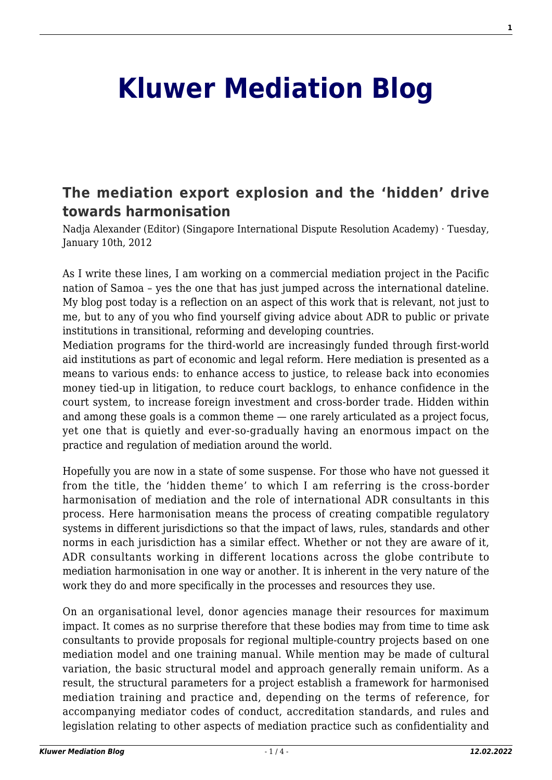## **[Kluwer Mediation Blog](http://mediationblog.kluwerarbitration.com/)**

## **[The mediation export explosion and the 'hidden' drive](http://mediationblog.kluwerarbitration.com/2012/01/10/the-mediation-export-explosion-and-the-hidden-drive-towards-harmonisation/) [towards harmonisation](http://mediationblog.kluwerarbitration.com/2012/01/10/the-mediation-export-explosion-and-the-hidden-drive-towards-harmonisation/)**

Nadja Alexander (Editor) (Singapore International Dispute Resolution Academy) · Tuesday, January 10th, 2012

As I write these lines, I am working on a commercial mediation project in the Pacific nation of Samoa – yes the one that has just jumped across the international dateline. My blog post today is a reflection on an aspect of this work that is relevant, not just to me, but to any of you who find yourself giving advice about ADR to public or private institutions in transitional, reforming and developing countries.

Mediation programs for the third-world are increasingly funded through first-world aid institutions as part of economic and legal reform. Here mediation is presented as a means to various ends: to enhance access to justice, to release back into economies money tied-up in litigation, to reduce court backlogs, to enhance confidence in the court system, to increase foreign investment and cross-border trade. Hidden within and among these goals is a common theme — one rarely articulated as a project focus, yet one that is quietly and ever-so-gradually having an enormous impact on the practice and regulation of mediation around the world.

Hopefully you are now in a state of some suspense. For those who have not guessed it from the title, the 'hidden theme' to which I am referring is the cross-border harmonisation of mediation and the role of international ADR consultants in this process. Here harmonisation means the process of creating compatible regulatory systems in different jurisdictions so that the impact of laws, rules, standards and other norms in each jurisdiction has a similar effect. Whether or not they are aware of it, ADR consultants working in different locations across the globe contribute to mediation harmonisation in one way or another. It is inherent in the very nature of the work they do and more specifically in the processes and resources they use.

On an organisational level, donor agencies manage their resources for maximum impact. It comes as no surprise therefore that these bodies may from time to time ask consultants to provide proposals for regional multiple-country projects based on one mediation model and one training manual. While mention may be made of cultural variation, the basic structural model and approach generally remain uniform. As a result, the structural parameters for a project establish a framework for harmonised mediation training and practice and, depending on the terms of reference, for accompanying mediator codes of conduct, accreditation standards, and rules and legislation relating to other aspects of mediation practice such as confidentiality and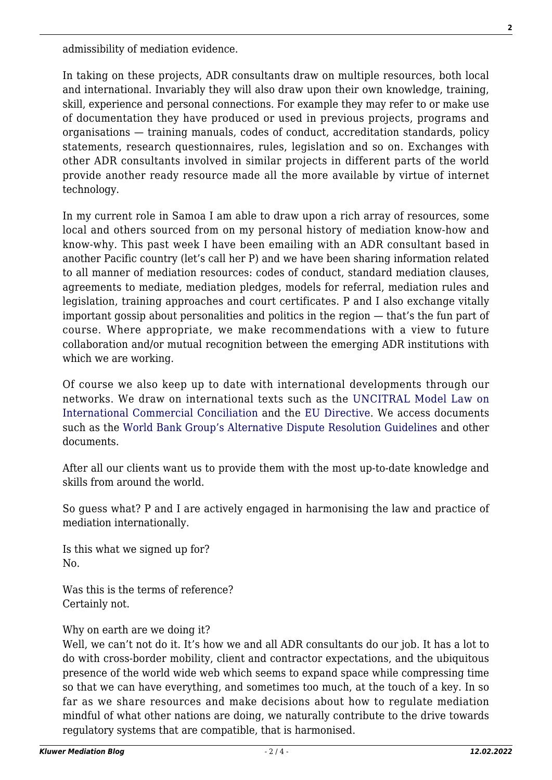admissibility of mediation evidence.

In taking on these projects, ADR consultants draw on multiple resources, both local and international. Invariably they will also draw upon their own knowledge, training, skill, experience and personal connections. For example they may refer to or make use of documentation they have produced or used in previous projects, programs and organisations — training manuals, codes of conduct, accreditation standards, policy statements, research questionnaires, rules, legislation and so on. Exchanges with other ADR consultants involved in similar projects in different parts of the world provide another ready resource made all the more available by virtue of internet technology.

In my current role in Samoa I am able to draw upon a rich array of resources, some local and others sourced from on my personal history of mediation know-how and know-why. This past week I have been emailing with an ADR consultant based in another Pacific country (let's call her P) and we have been sharing information related to all manner of mediation resources: codes of conduct, standard mediation clauses, agreements to mediate, mediation pledges, models for referral, mediation rules and legislation, training approaches and court certificates. P and I also exchange vitally important gossip about personalities and politics in the region — that's the fun part of course. Where appropriate, we make recommendations with a view to future collaboration and/or mutual recognition between the emerging ADR institutions with which we are working.

Of course we also keep up to date with international developments through our networks. We draw on international texts such as the [UNCITRAL Model Law on](http://www.uncitral.org) [International Commercial Conciliation](http://www.uncitral.org) and the [EU Directive.](http://kluwermediationblog.com/2011/12/17/beyond-the-eu-directive-on-mediation-solving-national-problems-at-a-national-level/) We access documents such as the [World Bank Group's Alternative Dispute Resolution Guidelines](https://www.wbginvestmentclimate.org/advisory-services/regulatory-simplification/alternative-dispute-resolution/upload/15322_ADRG_Web.pdf) and other documents.

After all our clients want us to provide them with the most up-to-date knowledge and skills from around the world.

So guess what? P and I are actively engaged in harmonising the law and practice of mediation internationally.

Is this what we signed up for? No.

Was this is the terms of reference? Certainly not.

## Why on earth are we doing it?

Well, we can't not do it. It's how we and all ADR consultants do our job. It has a lot to do with cross-border mobility, client and contractor expectations, and the ubiquitous presence of the world wide web which seems to expand space while compressing time so that we can have everything, and sometimes too much, at the touch of a key. In so far as we share resources and make decisions about how to regulate mediation mindful of what other nations are doing, we naturally contribute to the drive towards regulatory systems that are compatible, that is harmonised.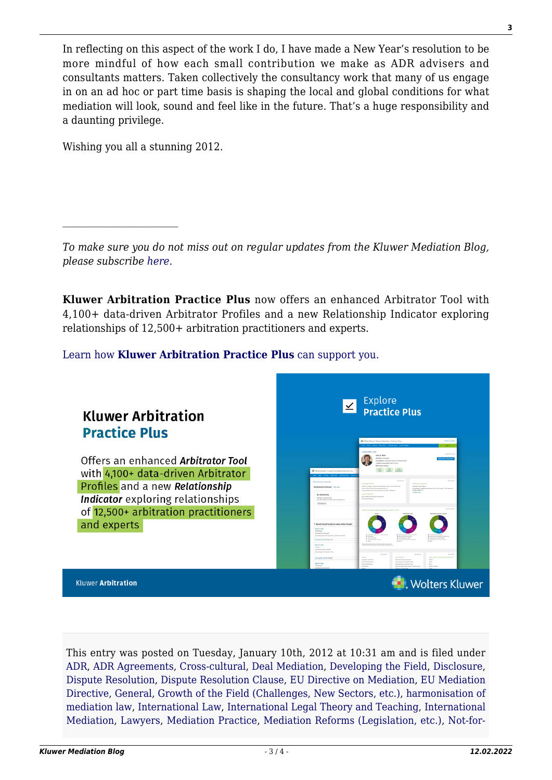In reflecting on this aspect of the work I do, I have made a New Year's resolution to be more mindful of how each small contribution we make as ADR advisers and consultants matters. Taken collectively the consultancy work that many of us engage in on an ad hoc or part time basis is shaping the local and global conditions for what mediation will look, sound and feel like in the future. That's a huge responsibility and a daunting privilege.

Wishing you all a stunning 2012.

 $\mathcal{L}_\text{max}$ 

*To make sure you do not miss out on regular updates from the Kluwer Mediation Blog, please subscribe [here.](http://mediationblog.kluwerarbitration.com/newsletter/)*

**Kluwer Arbitration Practice Plus** now offers an enhanced Arbitrator Tool with 4,100+ data-driven Arbitrator Profiles and a new Relationship Indicator exploring relationships of 12,500+ arbitration practitioners and experts.

[Learn how](https://www.wolterskluwer.com/en/solutions/kluwerarbitration/practiceplus?utm_source=mediationblog&utm_medium=articleCTA&utm_campaign=article-banner) **[Kluwer Arbitration Practice Plus](https://www.wolterskluwer.com/en/solutions/kluwerarbitration/practiceplus?utm_source=mediationblog&utm_medium=articleCTA&utm_campaign=article-banner)** [can support you.](https://www.wolterskluwer.com/en/solutions/kluwerarbitration/practiceplus?utm_source=mediationblog&utm_medium=articleCTA&utm_campaign=article-banner)



This entry was posted on Tuesday, January 10th, 2012 at 10:31 am and is filed under [ADR](http://mediationblog.kluwerarbitration.com/category/adr/), [ADR Agreements](http://mediationblog.kluwerarbitration.com/category/adr-agreements/), [Cross-cultural](http://mediationblog.kluwerarbitration.com/category/cross-cultural/), [Deal Mediation](http://mediationblog.kluwerarbitration.com/category/deal-mediation/), [Developing the Field,](http://mediationblog.kluwerarbitration.com/category/developing-the-field/) [Disclosure,](http://mediationblog.kluwerarbitration.com/category/disclosure/) [Dispute Resolution](http://mediationblog.kluwerarbitration.com/category/dispute-resolution/), [Dispute Resolution Clause](http://mediationblog.kluwerarbitration.com/category/dispute-resolution-clause/), [EU Directive on Mediation,](http://mediationblog.kluwerarbitration.com/category/eu-directive-on-mediation/) [EU Mediation](http://mediationblog.kluwerarbitration.com/category/eu-mediation-directive/) [Directive,](http://mediationblog.kluwerarbitration.com/category/eu-mediation-directive/) [General,](http://mediationblog.kluwerarbitration.com/category/general/) [Growth of the Field \(Challenges, New Sectors, etc.\),](http://mediationblog.kluwerarbitration.com/category/growth-of-the-field-challenges-new-sectors-etc/) [harmonisation of](http://mediationblog.kluwerarbitration.com/category/harmonisation-of-mediation-law/) [mediation law](http://mediationblog.kluwerarbitration.com/category/harmonisation-of-mediation-law/), [International Law,](http://mediationblog.kluwerarbitration.com/category/international-law/) [International Legal Theory and Teaching,](http://mediationblog.kluwerarbitration.com/category/international-legal-theory-and-teaching/) [International](http://mediationblog.kluwerarbitration.com/category/international-mediation/) [Mediation](http://mediationblog.kluwerarbitration.com/category/international-mediation/), [Lawyers,](http://mediationblog.kluwerarbitration.com/category/lawyers/) [Mediation Practice](http://mediationblog.kluwerarbitration.com/category/mediation-practice/), [Mediation Reforms \(Legislation, etc.\),](http://mediationblog.kluwerarbitration.com/category/mediation-reforms-legislation-etc/) [Not-for-](http://mediationblog.kluwerarbitration.com/category/not-for-profit-organizations-ngo/)